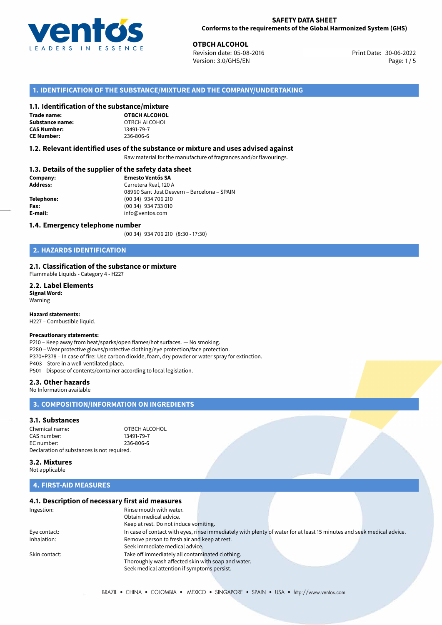

**OTBCH ALCOHOL**<br>30-06-2022 **Revision date: 05-08-2016** Print Date: 30-06-2022 Version: 3.0/GHS/EN Page: 1/5

# **1. IDENTIFICATION OF THE SUBSTANCE/MIXTURE AND THE COMPANY/UNDERTAKING**

### **1.1. Identification of the substance/mixture**

**Trade name: Substance name:** OTBCH ALCOHOL<br> **CAS Number:** 13491-79-7 **CAS Number: CE Number:** 236-806-6

**OTBCH ALCOHOL**

### **1.2. Relevant identified uses of the substance or mixture and uses advised against**

Raw material for the manufacture of fragrances and/or flavourings.

### **1.3. Details of the supplier of the safety data sheet**

| Company:        | <b>Ernesto Ventós SA</b>                    |  |
|-----------------|---------------------------------------------|--|
| <b>Address:</b> | Carretera Real, 120 A                       |  |
|                 | 08960 Sant Just Desvern - Barcelona - SPAIN |  |
| Telephone:      | (00 34) 934 706 210                         |  |
| Fax:            | (00 34) 934 733 010                         |  |
| E-mail:         | info@ventos.com                             |  |
|                 |                                             |  |

### **1.4. Emergency telephone number**

(00 34) 934 706 210 (8:30 - 17:30)

# **2. HAZARDS IDENTIFICATION**

### **2.1. Classification of the substance or mixture**

Flammable Liquids - Category 4 - H227

**2.2. Label Elements Signal Word:** Warning

**Hazard statements:**

H227 – Combustible liquid.

# **Precautionary statements:**

P210 – Keep away from heat/sparks/open flames/hot surfaces. — No smoking. P280 – Wear protective gloves/protective clothing/eye protection/face protection. P370+P378 – In case of fire: Use carbon dioxide, foam, dry powder or water spray for extinction. P403 – Store in a well-ventilated place. P501 – Dispose of contents/container according to local legislation.

### **2.3. Other hazards**

No Information available

# **3. COMPOSITION/INFORMATION ON INGREDIENTS**

### **3.1. Substances**

Chemical name: Chemical name: OTBCH ALCOHOL<br>
CAS number: CAS 13491-79-7 CAS number: EC number: 236-806-6 Declaration of substances is not required.

**3.2. Mixtures**

Not applicable

# **4. FIRST-AID MEASURES**

# **4.1. Description of necessary first aid measures**

| Ingestion:    | Rinse mouth with water.<br>Obtain medical advice.                                                                     |
|---------------|-----------------------------------------------------------------------------------------------------------------------|
|               | Keep at rest. Do not induce vomiting.                                                                                 |
|               |                                                                                                                       |
| Eye contact:  | In case of contact with eyes, rinse immediately with plenty of water for at least 15 minutes and seek medical advice. |
| Inhalation:   | Remove person to fresh air and keep at rest.                                                                          |
|               | Seek immediate medical advice.                                                                                        |
| Skin contact: | Take off immediately all contaminated clothing.                                                                       |
|               | Thoroughly wash affected skin with soap and water.                                                                    |
|               | Seek medical attention if symptoms persist.                                                                           |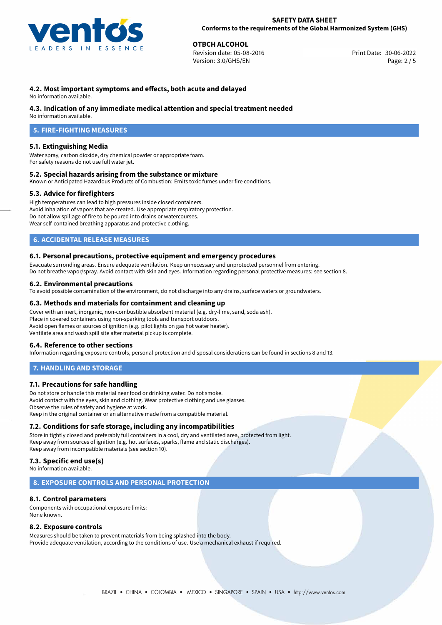

**OTBCH ALCOHOL**<br>30-06-2022 **Revision date: 05-08-2016** Revision date: 05-08-2016 Version: 3.0/GHS/EN Page: 2 / 5

# **4.2. Most important symptoms and effects, both acute and delayed**

No information available.

# **4.3. Indication of any immediate medical attention and special treatment needed**

No information available.

# **5. FIRE-FIGHTING MEASURES**

# **5.1. Extinguishing Media**

Water spray, carbon dioxide, dry chemical powder or appropriate foam. For safety reasons do not use full water jet.

### **5.2. Special hazards arising from the substance or mixture**

Known or Anticipated Hazardous Products of Combustion: Emits toxic fumes under fire conditions.

### **5.3. Advice for firefighters**

High temperatures can lead to high pressures inside closed containers. Avoid inhalation of vapors that are created. Use appropriate respiratory protection. Do not allow spillage of fire to be poured into drains or watercourses. Wear self-contained breathing apparatus and protective clothing.

# **6. ACCIDENTAL RELEASE MEASURES**

### **6.1. Personal precautions, protective equipment and emergency procedures**

Evacuate surronding areas. Ensure adequate ventilation. Keep unnecessary and unprotected personnel from entering. Do not breathe vapor/spray. Avoid contact with skin and eyes. Information regarding personal protective measures: see section 8.

# **6.2. Environmental precautions**

To avoid possible contamination of the environment, do not discharge into any drains, surface waters or groundwaters.

### **6.3. Methods and materials for containment and cleaning up**

Cover with an inert, inorganic, non-combustible absorbent material (e.g. dry-lime, sand, soda ash). Place in covered containers using non-sparking tools and transport outdoors. Avoid open flames or sources of ignition (e.g. pilot lights on gas hot water heater). Ventilate area and wash spill site after material pickup is complete.

### **6.4. Reference to other sections**

Information regarding exposure controls, personal protection and disposal considerations can be found in sections 8 and 13.

# **7. HANDLING AND STORAGE**

### **7.1. Precautions for safe handling**

Do not store or handle this material near food or drinking water. Do not smoke. Avoid contact with the eyes, skin and clothing. Wear protective clothing and use glasses. Observe the rules of safety and hygiene at work. Keep in the original container or an alternative made from a compatible material.

### **7.2. Conditions for safe storage, including any incompatibilities**

Store in tightly closed and preferably full containers in a cool, dry and ventilated area, protected from light. Keep away from sources of ignition (e.g. hot surfaces, sparks, flame and static discharges). Keep away from incompatible materials (see section 10).

# **7.3. Specific end use(s)**

No information available.

### **8. EXPOSURE CONTROLS AND PERSONAL PROTECTION**

### **8.1. Control parameters**

Components with occupational exposure limits: None known.

### **8.2. Exposure controls**

Measures should be taken to prevent materials from being splashed into the body. Provide adequate ventilation, according to the conditions of use. Use a mechanical exhaust if required.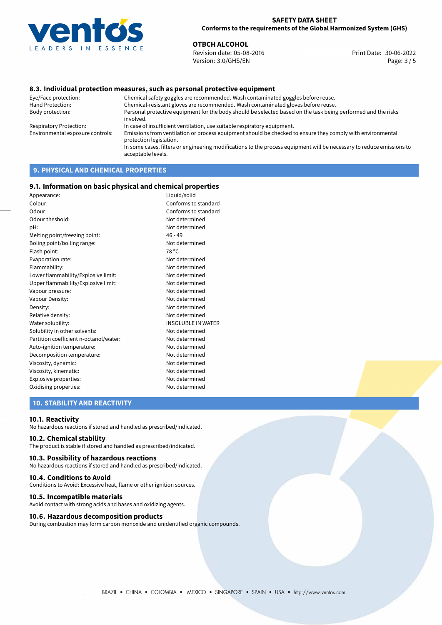

**OTBCH ALCOHOL**<br>30-06-2022 Revision date: 05-08-2016 Revision date: 05-08-2016 Version: 3.0/GHS/EN Page: 3 / 5

### **8.3. Individual protection measures, such as personal protective equipment**

Eye/Face protection: Chemical safety goggles are recommended. Wash contaminated goggles before reuse. Chemical-resistant gloves are recommended. Wash contaminated gloves before reuse. Body protection: Personal protective equipment for the body should be selected based on the task being performed and the risks involved. Respiratory Protection: In case of insufficient ventilation, use suitable respiratory equipment. Environmental exposure controls: Emissions from ventilation or process equipment should be checked to ensure they comply with environmental protection legislation. In some cases, filters or engineering modifications to the process equipment will be necessary to reduce emissions to acceptable levels.

# **9. PHYSICAL AND CHEMICAL PROPERTIES**

### **9.1. Information on basic physical and chemical properties**

| Appearance:                            | Liquid/solid              |
|----------------------------------------|---------------------------|
| Colour:                                | Conforms to standard      |
| Odour:                                 | Conforms to standard      |
| Odour theshold:                        | Not determined            |
| pH:                                    | Not determined            |
| Melting point/freezing point:          | $46 - 49$                 |
| Boling point/boiling range:            | Not determined            |
| Flash point:                           | 78 °C                     |
| Evaporation rate:                      | Not determined            |
| Flammability:                          | Not determined            |
| Lower flammability/Explosive limit:    | Not determined            |
| Upper flammability/Explosive limit:    | Not determined            |
| Vapour pressure:                       | Not determined            |
| Vapour Density:                        | Not determined            |
| Density:                               | Not determined            |
| Relative density:                      | Not determined            |
| Water solubility:                      | <b>INSOLUBLE IN WATER</b> |
| Solubility in other solvents:          | Not determined            |
| Partition coefficient n-octanol/water: | Not determined            |
| Auto-ignition temperature:             | Not determined            |
| Decomposition temperature:             | Not determined            |
| Viscosity, dynamic:                    | Not determined            |
| Viscosity, kinematic:                  | Not determined            |
| Explosive properties:                  | Not determined            |
| Oxidising properties:                  | Not determined            |
|                                        |                           |

# **10. STABILITY AND REACTIVITY**

### **10.1. Reactivity**

No hazardous reactions if stored and handled as prescribed/indicated.

## **10.2. Chemical stability**

The product is stable if stored and handled as prescribed/indicated.

### **10.3. Possibility of hazardous reactions**

No hazardous reactions if stored and handled as prescribed/indicated.

### **10.4. Conditions to Avoid**

Conditions to Avoid: Excessive heat, flame or other ignition sources.

### **10.5. Incompatible materials**

Avoid contact with strong acids and bases and oxidizing agents.

### **10.6. Hazardous decomposition products**

During combustion may form carbon monoxide and unidentified organic compounds.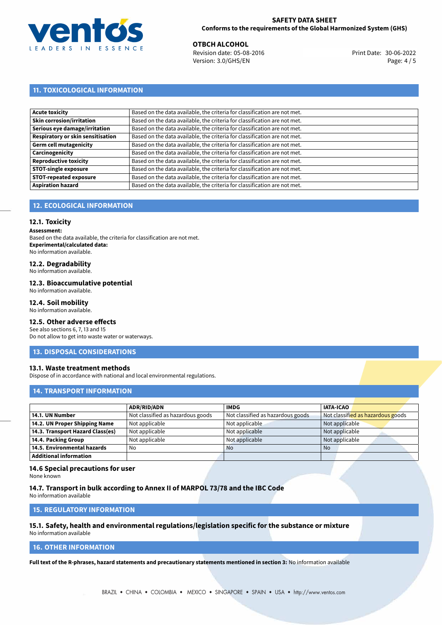

**OTBCH ALCOHOL**<br>
Revision date: 05-08-2016 **Print Date: 30-06-2022** Version: 3.0/GHS/EN Page: 4 / 5

# **11. TOXICOLOGICAL INFORMATION**

| <b>Acute toxicity</b>             | Based on the data available, the criteria for classification are not met. |
|-----------------------------------|---------------------------------------------------------------------------|
| <b>Skin corrosion/irritation</b>  | Based on the data available, the criteria for classification are not met. |
| Serious eye damage/irritation     | Based on the data available, the criteria for classification are not met. |
| Respiratory or skin sensitisation | Based on the data available, the criteria for classification are not met. |
| Germ cell mutagenicity            | Based on the data available, the criteria for classification are not met. |
| Carcinogenicity                   | Based on the data available, the criteria for classification are not met. |
| <b>Reproductive toxicity</b>      | Based on the data available, the criteria for classification are not met. |
| <b>STOT-single exposure</b>       | Based on the data available, the criteria for classification are not met. |
| <b>STOT-repeated exposure</b>     | Based on the data available, the criteria for classification are not met. |
| <b>Aspiration hazard</b>          | Based on the data available, the criteria for classification are not met. |

# **12. ECOLOGICAL INFORMATION**

# **12.1. Toxicity**

**Assessment:**

Based on the data available, the criteria for classification are not met. **Experimental/calculated data:** No information available.

# **12.2. Degradability**

No information available.

### **12.3. Bioaccumulative potential**

No information available.

# **12.4. Soil mobility**

No information available.

# **12.5. Other adverse effects**

See also sections 6, 7, 13 and 15 Do not allow to get into waste water or waterways.

### **13. DISPOSAL CONSIDERATIONS**

### **13.1. Waste treatment methods**

Dispose of in accordance with national and local environmental regulations.

### **14. TRANSPORT INFORMATION**

|                                  | <b>ADR/RID/ADN</b>                | <b>IMDG</b>                       | <b>IATA-ICAO</b>                  |
|----------------------------------|-----------------------------------|-----------------------------------|-----------------------------------|
| 14.1. UN Number                  | Not classified as hazardous goods | Not classified as hazardous goods | Not classified as hazardous goods |
| 14.2. UN Proper Shipping Name    | Not applicable                    | Not applicable                    | Not applicable                    |
| 14.3. Transport Hazard Class(es) | Not applicable                    | Not applicable                    | Not applicable                    |
| 14.4. Packing Group              | Not applicable                    | Not applicable                    | Not applicable                    |
| 14.5. Environmental hazards      | No                                | <b>No</b>                         | <b>No</b>                         |
| Additional information           |                                   |                                   |                                   |

### **14.6 Special precautions for user**

None known

### **14.7. Transport in bulk according to Annex II of MARPOL 73/78 and the IBC Code**

No information available

# **15. REGULATORY INFORMATION**

### **15.1. Safety, health and environmental regulations/legislation specific for the substance or mixture** No information available

# **16. OTHER INFORMATION**

**Full text of the R-phrases, hazard statements and precautionary statements mentioned in section 3:** No information available